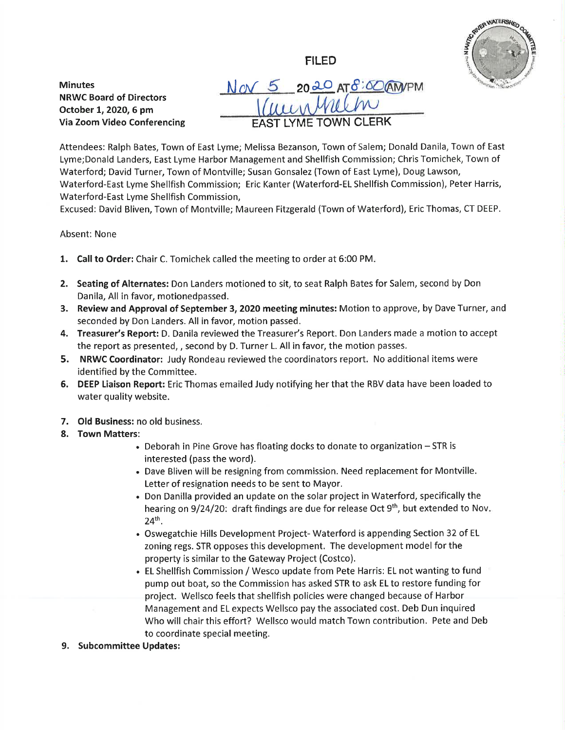ES ANDR WATERSHED

NRWC Board of Directors October 1, 2020, 6 pm

Via Zoom Video Conferencing

N ov 5 20 20 AT 8:00 AM/PM LYME TOWN CLERK

FILED

Attendees: Ralph Bates, Town of East Lyme; Melissa Bezanson, Town of Salem; Donald Danila, Town of East Lyme;Donald Landers, East Lyme Harbor Management and Shellfish Commission; Chris Tomichek, Town of Waterford; David Turner, Town of Montville; Susan Gonsalez (Town of East Lyme), Doug Lawson, Waterford-East Lyme Shellfish Commission; Eric Kanter (Waterford-EL Shellfish Commission), Peter Harris, Waterford-East Lyme Shellfish Commission,

Excused: David Bliven, Town of Montville; Maureen Fitzgerald (Town of Waterford), Eric Thomas, CT DEEP.

## Absent: None

**Minutes** 

- 1. Call to Order: Chair C. Tomichek called the meeting to order at 6:00 PM.
- 2. Seating of Alternates: Don Landers motioned to sit, to seat Ralph Bates for Salem, second by Don Danila, All in favor, motionedpassed.
- 3. Review and Approval of September 3, 2020 meeting minutes: Motion to approve, by Dave Turner, and seconded by Don Landers. All in favor, motion passed.
- 4. Treasurer's Report: D. Danila reviewed the Treasurer's Report. Don Landers made a motion to accept the report as presented, , second by D. Turner L. All in favor, the motion passes
- 5. NRWC Coordinator: Judy Rondeau reviewed the coordinators report. No additional items were identified by the Committee.
- 6. DEEP Liaison Report: Eric Thomas emailed Judy notifying her that the RBV data have been loaded to water quality website.
- 7. Old Business: no old business.
- 8. Town Matters:
	- Deborah in Pine Grove has floating docks to donate to organization STR is interested (pass the word).
	- . Dave Bliven will be resigning from commission. Need replacement for Montville. Letter of resignation needs to be sent to Mayor.
	- . Don Danilla provided an update on the solar project in Waterford, specifically the hearing on  $9/24/20$ : draft findings are due for release Oct  $9<sup>th</sup>$ , but extended to Nov. 24th.
	- . Oswegatchie Hills Development Project- Waterford is appending Section 32 of EL zoning regs. STR opposes this development. The development model for the property is similar to the Gateway Project (Costco).
	- . EL Shellfish Commission / Wesco update from Pete Harris: EL not wanting to fund pump out boat, so the Commission has asked STR to ask EL to restore funding for project. Wellsco feels that shellfish policies were changed because of Harbor Management and EL expects Wellsco pay the associated cost. Deb Dun inquired Who will chair this effort? Wellsco would match Town contribution. Pete and Deb to coordinate special meeting.
- 9. Subcommittee Updates: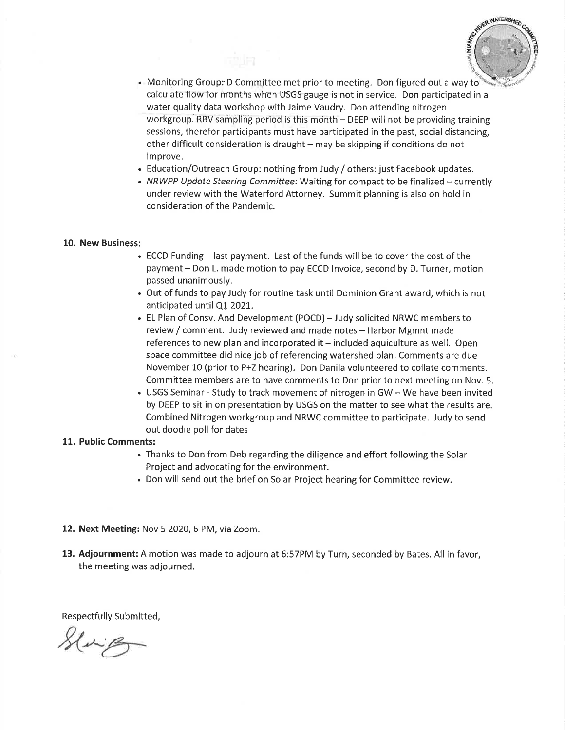

- $\bullet$  Monitoring Group: D Committee met prior to meeting. Don figured out a way to calculate flow for months when US'GS gauge is not in service. Don participated in <sup>a</sup> water quality data workshop with Jaime Vaudry. Don attending nitrogen workgroup. RBV sampling period is this month - DEEP will not be providing training sessions, therefor participants must have participated in the past, social distancing, other difficult consideration is draught  $-$  may be skipping if conditions do not improve.
- . Education/Outreach Group: nothing from Judy / others: just Facebook updates.
- NRWPP Update Steering Committee: Waiting for compact to be finalized currently under review with the Waterford Attorney. Summit planning is also on hold in consideration of the Pandemic.

## 10. New Business:

- . ECCD Funding last payment. Last of the funds will be to cover the cost of the payment - Don L. made motion to pay ECCD Invoice, second by D. Turner, motion passed unanimously.
- . Out of funds to pay Judy for routine task until Dominion Grant award, which is not anticipated until Q1 2021.
- . EL Plan of Consv. And Development (POCD) Judy solicited NRWC members to review / comment. Judy reviewed and made notes - Harbor Mgmnt made references to new plan and incorporated it - included aquiculture as well. Open space committee did nice job of referencing watershed plan. Comments are due November 10 (prior to P+Z hearing). Don Danila volunteered to collate comments. Committee members are to have comments to Don prior to next meeting on Nov. 5.
- . USGS Seminar Study to track movement of nitrogen in GW We have been invited by DEEP to sit in on presentation by USGS on the matter to see what the results are. Combined Nitrogen workgroup and NRWC committee to participate, Judy to send out doodle poll for dates

## 11. Public Comments:

- . Thanks to Don from Deb regarding the diligence and effort following the Solar Project and advocating for the environment.
- . Don will send out the brief on Solar Project hearing for Committee review.
- 12. Next Meeting: Nov 5 2020, 6 PM, via Zoom.
- 13. Adjournment: A motion was made to adjourn at 6:57PM by Turn, seconded by Bates. All in favor, the meeting was adjourned.

Respectfully Submitted,

Sluip